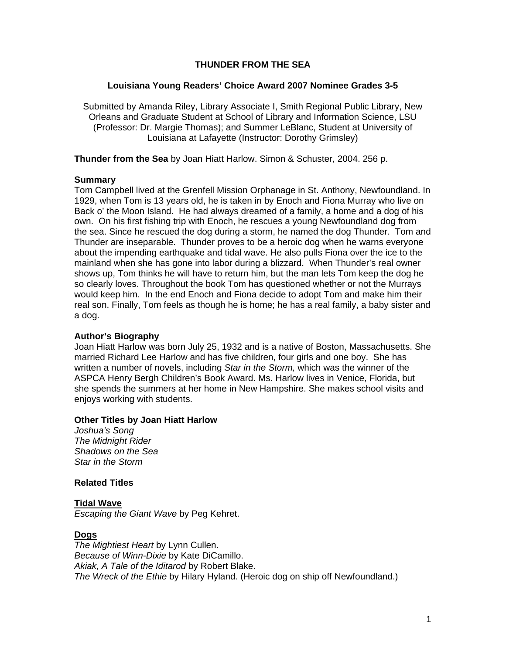### **THUNDER FROM THE SEA**

#### **Louisiana Young Readers' Choice Award 2007 Nominee Grades 3-5**

Submitted by Amanda Riley, Library Associate I, Smith Regional Public Library, New Orleans and Graduate Student at School of Library and Information Science, LSU (Professor: Dr. Margie Thomas); and Summer LeBlanc, Student at University of Louisiana at Lafayette (Instructor: Dorothy Grimsley)

**Thunder from the Sea** by Joan Hiatt Harlow. Simon & Schuster, 2004. 256 p.

#### **Summary**

Tom Campbell lived at the Grenfell Mission Orphanage in St. Anthony, Newfoundland. In 1929, when Tom is 13 years old, he is taken in by Enoch and Fiona Murray who live on Back o' the Moon Island. He had always dreamed of a family, a home and a dog of his own. On his first fishing trip with Enoch, he rescues a young Newfoundland dog from the sea. Since he rescued the dog during a storm, he named the dog Thunder. Tom and Thunder are inseparable. Thunder proves to be a heroic dog when he warns everyone about the impending earthquake and tidal wave. He also pulls Fiona over the ice to the mainland when she has gone into labor during a blizzard. When Thunder's real owner shows up, Tom thinks he will have to return him, but the man lets Tom keep the dog he so clearly loves. Throughout the book Tom has questioned whether or not the Murrays would keep him. In the end Enoch and Fiona decide to adopt Tom and make him their real son. Finally, Tom feels as though he is home; he has a real family, a baby sister and a dog.

#### **Author's Biography**

Joan Hiatt Harlow was born July 25, 1932 and is a native of Boston, Massachusetts. She married Richard Lee Harlow and has five children, four girls and one boy. She has written a number of novels, including *Star in the Storm,* which was the winner of the ASPCA Henry Bergh Children's Book Award. Ms. Harlow lives in Venice, Florida, but she spends the summers at her home in New Hampshire. She makes school visits and enjoys working with students.

#### **Other Titles by Joan Hiatt Harlow**

*Joshua's Song The Midnight Rider Shadows on the Sea Star in the Storm* 

#### **Related Titles**

**Tidal Wave** *Escaping the Giant Wave* by Peg Kehret.

#### **Dogs**

*The Mightiest Heart* by Lynn Cullen. *Because of Winn-Dixie* by Kate DiCamillo. *Akiak, A Tale of the Iditarod* by Robert Blake. *The Wreck of the Ethie* by Hilary Hyland. (Heroic dog on ship off Newfoundland.)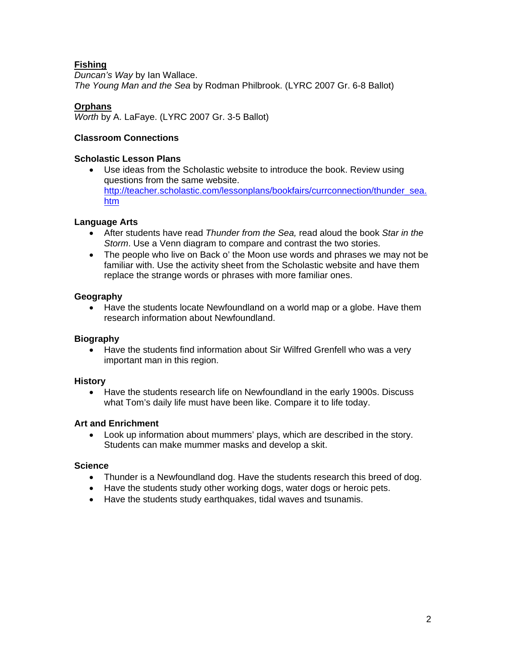# **Fishing**

*Duncan's Way* by Ian Wallace. *The Young Man and the Sea* by Rodman Philbrook. (LYRC 2007 Gr. 6-8 Ballot)

# **Orphans**

*Worth* by A. LaFaye. (LYRC 2007 Gr. 3-5 Ballot)

### **Classroom Connections**

### **Scholastic Lesson Plans**

• Use ideas from the Scholastic website to introduce the book. Review using questions from the same website. [http://teacher.scholastic.com/lessonplans/bookfairs/currconnection/thunder\\_sea.](http://teacher.scholastic.com/lessonplans/bookfairs/currconnection/thunder_sea.htm) [htm](http://teacher.scholastic.com/lessonplans/bookfairs/currconnection/thunder_sea.htm)

### **Language Arts**

- After students have read *Thunder from the Sea,* read aloud the book *Star in the Storm*. Use a Venn diagram to compare and contrast the two stories.
- The people who live on Back o' the Moon use words and phrases we may not be familiar with. Use the activity sheet from the Scholastic website and have them replace the strange words or phrases with more familiar ones.

### **Geography**

• Have the students locate Newfoundland on a world map or a globe. Have them research information about Newfoundland.

# **Biography**

• Have the students find information about Sir Wilfred Grenfell who was a very important man in this region.

### **History**

• Have the students research life on Newfoundland in the early 1900s. Discuss what Tom's daily life must have been like. Compare it to life today.

### **Art and Enrichment**

• Look up information about mummers' plays, which are described in the story. Students can make mummer masks and develop a skit.

### **Science**

- Thunder is a Newfoundland dog. Have the students research this breed of dog.
- Have the students study other working dogs, water dogs or heroic pets.
- Have the students study earthquakes, tidal waves and tsunamis.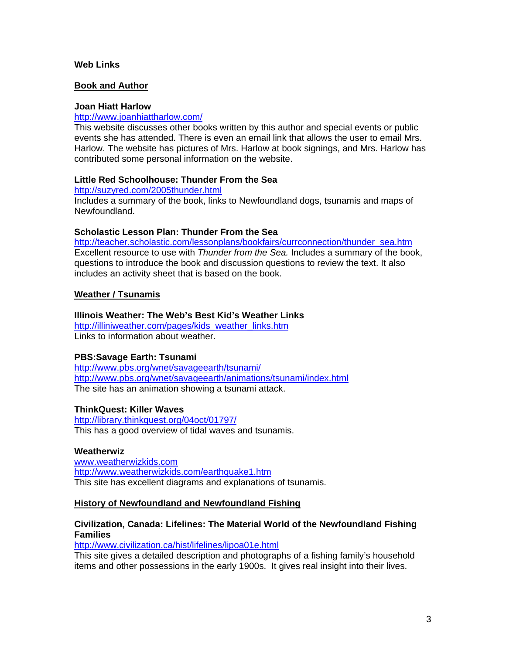#### **Web Links**

#### **Book and Author**

#### **Joan Hiatt Harlow**

### <http://www.joanhiattharlow.com/>

This website discusses other books written by this author and special events or public events she has attended. There is even an email link that allows the user to email Mrs. Harlow. The website has pictures of Mrs. Harlow at book signings, and Mrs. Harlow has contributed some personal information on the website.

#### **Little Red Schoolhouse: Thunder From the Sea**

<http://suzyred.com/2005thunder.html> Includes a summary of the book, links to Newfoundland dogs, tsunamis and maps of Newfoundland.

#### **Scholastic Lesson Plan: Thunder From the Sea**

[http://teacher.scholastic.com/lessonplans/bookfairs/currconnection/thunder\\_sea.htm](http://teacher.scholastic.com/lessonplans/bookfairs/currconnection/thunder_sea.htm) Excellent resource to use with *Thunder from the Sea.* Includes a summary of the book, questions to introduce the book and discussion questions to review the text. It also includes an activity sheet that is based on the book.

### **Weather / Tsunamis**

#### **Illinois Weather: The Web's Best Kid's Weather Links**

[http://illiniweather.com/pages/kids\\_weather\\_links.htm](http://illiniweather.com/pages/kids_weather_links.htm) Links to information about weather.

### **PBS:Savage Earth: Tsunami**

<http://www.pbs.org/wnet/savageearth/tsunami/> <http://www.pbs.org/wnet/savageearth/animations/tsunami/index.html> The site has an animation showing a tsunami attack.

#### **ThinkQuest: Killer Waves**

<http://library.thinkquest.org/04oct/01797/> This has a good overview of tidal waves and tsunamis.

#### **Weatherwiz**

[www.weatherwizkids.com](http://www.weatherwizkids.com/) <http://www.weatherwizkids.com/earthquake1.htm> This site has excellent diagrams and explanations of tsunamis.

#### **History of Newfoundland and Newfoundland Fishing**

### **Civilization, Canada: Lifelines: The Material World of the Newfoundland Fishing Families**

<http://www.civilization.ca/hist/lifelines/lipoa01e.html>

This site gives a detailed description and photographs of a fishing family's household items and other possessions in the early 1900s. It gives real insight into their lives.